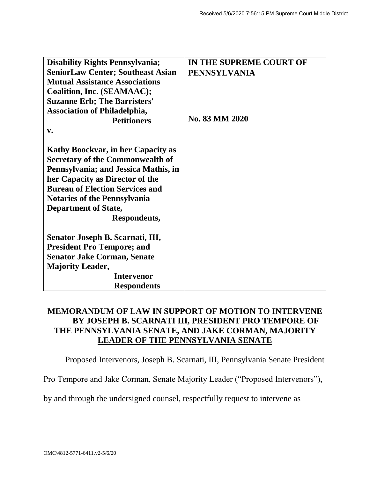| <b>Disability Rights Pennsylvania;</b>    | IN THE SUPREME COURT OF |
|-------------------------------------------|-------------------------|
| <b>SeniorLaw Center; Southeast Asian</b>  | <b>PENNSYLVANIA</b>     |
| <b>Mutual Assistance Associations</b>     |                         |
| Coalition, Inc. (SEAMAAC);                |                         |
| <b>Suzanne Erb; The Barristers'</b>       |                         |
| <b>Association of Philadelphia,</b>       |                         |
| <b>Petitioners</b>                        | No. 83 MM 2020          |
| $V_{\bullet}$                             |                         |
|                                           |                         |
| <b>Kathy Boockvar, in her Capacity as</b> |                         |
| <b>Secretary of the Commonwealth of</b>   |                         |
| Pennsylvania; and Jessica Mathis, in      |                         |
| her Capacity as Director of the           |                         |
| <b>Bureau of Election Services and</b>    |                         |
| <b>Notaries of the Pennsylvania</b>       |                         |
| <b>Department of State,</b>               |                         |
| Respondents,                              |                         |
|                                           |                         |
| Senator Joseph B. Scarnati, III,          |                         |
| <b>President Pro Tempore; and</b>         |                         |
| <b>Senator Jake Corman, Senate</b>        |                         |
| <b>Majority Leader,</b>                   |                         |
| <b>Intervenor</b>                         |                         |
| <b>Respondents</b>                        |                         |

## **MEMORANDUM OF LAW IN SUPPORT OF MOTION TO INTERVENE BY JOSEPH B. SCARNATI III, PRESIDENT PRO TEMPORE OF THE PENNSYLVANIA SENATE, AND JAKE CORMAN, MAJORITY LEADER OF THE PENNSYLVANIA SENATE**

Proposed Intervenors, Joseph B. Scarnati, III, Pennsylvania Senate President

Pro Tempore and Jake Corman, Senate Majority Leader ("Proposed Intervenors"),

by and through the undersigned counsel, respectfully request to intervene as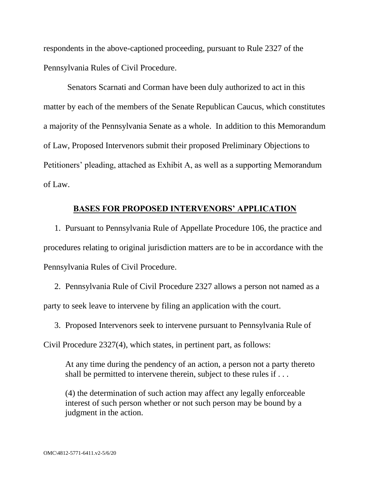respondents in the above-captioned proceeding, pursuant to Rule 2327 of the Pennsylvania Rules of Civil Procedure.

Senators Scarnati and Corman have been duly authorized to act in this matter by each of the members of the Senate Republican Caucus, which constitutes a majority of the Pennsylvania Senate as a whole. In addition to this Memorandum of Law, Proposed Intervenors submit their proposed Preliminary Objections to Petitioners' pleading, attached as Exhibit A, as well as a supporting Memorandum of Law.

## **BASES FOR PROPOSED INTERVENORS' APPLICATION**

1. Pursuant to Pennsylvania Rule of Appellate Procedure 106, the practice and procedures relating to original jurisdiction matters are to be in accordance with the Pennsylvania Rules of Civil Procedure.

2. Pennsylvania Rule of Civil Procedure 2327 allows a person not named as a party to seek leave to intervene by filing an application with the court.

3. Proposed Intervenors seek to intervene pursuant to Pennsylvania Rule of

Civil Procedure 2327(4), which states, in pertinent part, as follows:

At any time during the pendency of an action, a person not a party thereto shall be permitted to intervene therein, subject to these rules if ...

(4) the determination of such action may affect any legally enforceable interest of such person whether or not such person may be bound by a judgment in the action.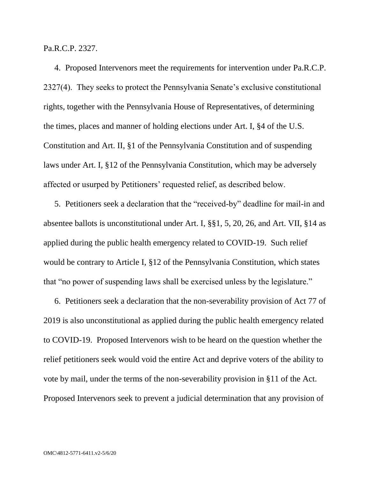Pa.R.C.P. 2327.

4. Proposed Intervenors meet the requirements for intervention under Pa.R.C.P. 2327(4). They seeks to protect the Pennsylvania Senate's exclusive constitutional rights, together with the Pennsylvania House of Representatives, of determining the times, places and manner of holding elections under Art. I, §4 of the U.S. Constitution and Art. II, §1 of the Pennsylvania Constitution and of suspending laws under Art. I, §12 of the Pennsylvania Constitution, which may be adversely affected or usurped by Petitioners' requested relief, as described below.

5. Petitioners seek a declaration that the "received-by" deadline for mail-in and absentee ballots is unconstitutional under Art. I, §§1, 5, 20, 26, and Art. VII, §14 as applied during the public health emergency related to COVID-19. Such relief would be contrary to Article I, §12 of the Pennsylvania Constitution, which states that "no power of suspending laws shall be exercised unless by the legislature."

6. Petitioners seek a declaration that the non-severability provision of Act 77 of 2019 is also unconstitutional as applied during the public health emergency related to COVID-19. Proposed Intervenors wish to be heard on the question whether the relief petitioners seek would void the entire Act and deprive voters of the ability to vote by mail, under the terms of the non-severability provision in §11 of the Act. Proposed Intervenors seek to prevent a judicial determination that any provision of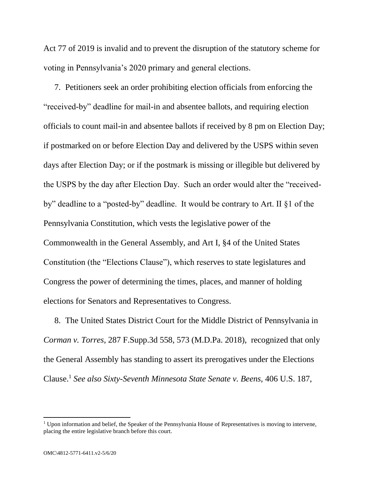Act 77 of 2019 is invalid and to prevent the disruption of the statutory scheme for voting in Pennsylvania's 2020 primary and general elections.

7. Petitioners seek an order prohibiting election officials from enforcing the "received-by" deadline for mail-in and absentee ballots, and requiring election officials to count mail-in and absentee ballots if received by 8 pm on Election Day; if postmarked on or before Election Day and delivered by the USPS within seven days after Election Day; or if the postmark is missing or illegible but delivered by the USPS by the day after Election Day. Such an order would alter the "receivedby" deadline to a "posted-by" deadline. It would be contrary to Art. II §1 of the Pennsylvania Constitution, which vests the legislative power of the Commonwealth in the General Assembly, and Art I, §4 of the United States Constitution (the "Elections Clause"), which reserves to state legislatures and Congress the power of determining the times, places, and manner of holding elections for Senators and Representatives to Congress.

8. The United States District Court for the Middle District of Pennsylvania in *Corman v. Torres*, 287 F.Supp.3d 558, 573 (M.D.Pa. 2018), recognized that only the General Assembly has standing to assert its prerogatives under the Elections Clause.<sup>1</sup> *See also Sixty-Seventh Minnesota State Senate v. Beens,* 406 U.S. 187,

 $\overline{a}$ 

<sup>&</sup>lt;sup>1</sup> Upon information and belief, the Speaker of the Pennsylvania House of Representatives is moving to intervene, placing the entire legislative branch before this court.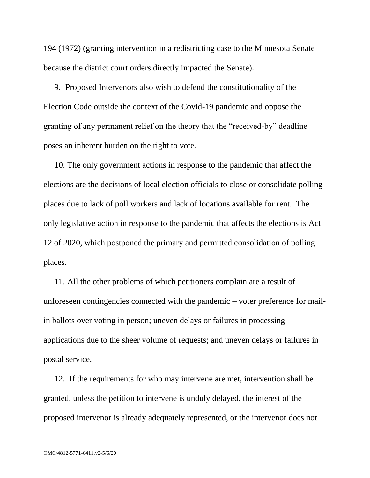194 (1972) (granting intervention in a redistricting case to the Minnesota Senate because the district court orders directly impacted the Senate).

9. Proposed Intervenors also wish to defend the constitutionality of the Election Code outside the context of the Covid-19 pandemic and oppose the granting of any permanent relief on the theory that the "received-by" deadline poses an inherent burden on the right to vote.

10. The only government actions in response to the pandemic that affect the elections are the decisions of local election officials to close or consolidate polling places due to lack of poll workers and lack of locations available for rent. The only legislative action in response to the pandemic that affects the elections is Act 12 of 2020, which postponed the primary and permitted consolidation of polling places.

11. All the other problems of which petitioners complain are a result of unforeseen contingencies connected with the pandemic – voter preference for mailin ballots over voting in person; uneven delays or failures in processing applications due to the sheer volume of requests; and uneven delays or failures in postal service.

12. If the requirements for who may intervene are met, intervention shall be granted, unless the petition to intervene is unduly delayed, the interest of the proposed intervenor is already adequately represented, or the intervenor does not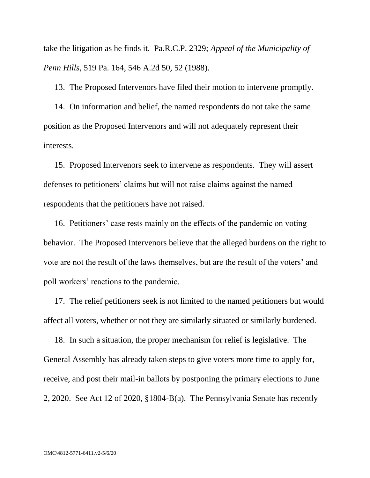take the litigation as he finds it. Pa.R.C.P. 2329; *Appeal of the Municipality of Penn Hills*, 519 Pa. 164, 546 A.2d 50, 52 (1988).

13. The Proposed Intervenors have filed their motion to intervene promptly.

14. On information and belief, the named respondents do not take the same position as the Proposed Intervenors and will not adequately represent their interests.

15. Proposed Intervenors seek to intervene as respondents. They will assert defenses to petitioners' claims but will not raise claims against the named respondents that the petitioners have not raised.

16. Petitioners' case rests mainly on the effects of the pandemic on voting behavior. The Proposed Intervenors believe that the alleged burdens on the right to vote are not the result of the laws themselves, but are the result of the voters' and poll workers' reactions to the pandemic.

17. The relief petitioners seek is not limited to the named petitioners but would affect all voters, whether or not they are similarly situated or similarly burdened.

18. In such a situation, the proper mechanism for relief is legislative. The General Assembly has already taken steps to give voters more time to apply for, receive, and post their mail-in ballots by postponing the primary elections to June 2, 2020. See Act 12 of 2020, §1804-B(a). The Pennsylvania Senate has recently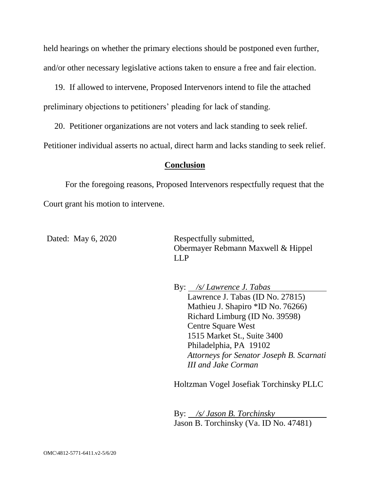held hearings on whether the primary elections should be postponed even further, and/or other necessary legislative actions taken to ensure a free and fair election.

19. If allowed to intervene, Proposed Intervenors intend to file the attached preliminary objections to petitioners' pleading for lack of standing.

20. Petitioner organizations are not voters and lack standing to seek relief.

Petitioner individual asserts no actual, direct harm and lacks standing to seek relief.

## **Conclusion**

For the foregoing reasons, Proposed Intervenors respectfully request that the Court grant his motion to intervene.

Dated: May 6, 2020 Respectfully submitted, Obermayer Rebmann Maxwell & Hippel LLP

> By: */s/ Lawrence J. Tabas* Lawrence J. Tabas (ID No. 27815) Mathieu J. Shapiro \*ID No. 76266) Richard Limburg (ID No. 39598) Centre Square West 1515 Market St., Suite 3400 Philadelphia, PA 19102 *Attorneys for Senator Joseph B. Scarnati III and Jake Corman*

Holtzman Vogel Josefiak Torchinsky PLLC

By: */s/ Jason B. Torchinsky* Jason B. Torchinsky (Va. ID No. 47481)